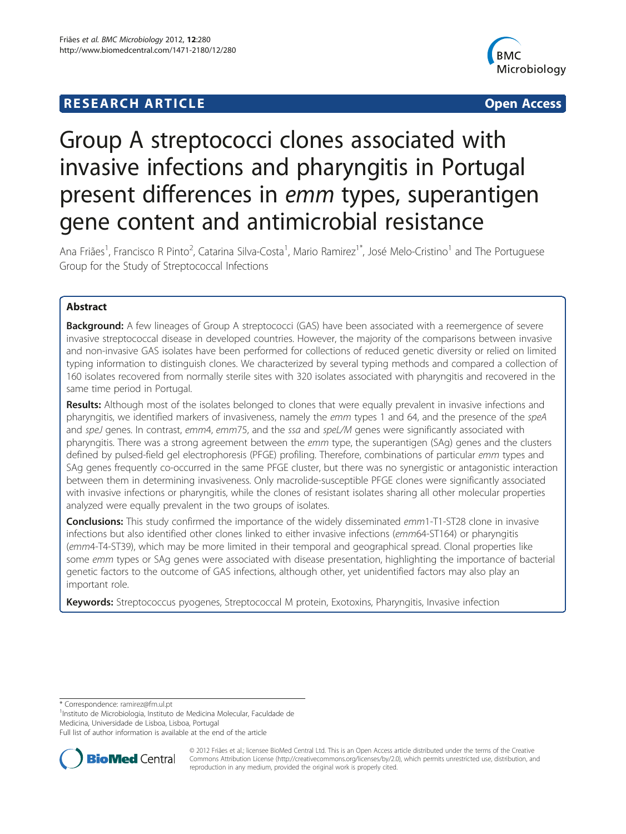# **RESEARCH ARTICLE Example 2014 12:30 The Contract of Contract ACCESS**



# Group A streptococci clones associated with invasive infections and pharyngitis in Portugal present differences in emm types, superantigen gene content and antimicrobial resistance

Ana Friães<sup>1</sup>, Francisco R Pinto<sup>2</sup>, Catarina Silva-Costa<sup>1</sup>, Mario Ramirez<sup>1\*</sup>, José Melo-Cristino<sup>1</sup> and The Portuguese Group for the Study of Streptococcal Infections

# Abstract

Background: A few lineages of Group A streptococci (GAS) have been associated with a reemergence of severe invasive streptococcal disease in developed countries. However, the majority of the comparisons between invasive and non-invasive GAS isolates have been performed for collections of reduced genetic diversity or relied on limited typing information to distinguish clones. We characterized by several typing methods and compared a collection of 160 isolates recovered from normally sterile sites with 320 isolates associated with pharyngitis and recovered in the same time period in Portugal.

Results: Although most of the isolates belonged to clones that were equally prevalent in invasive infections and pharyngitis, we identified markers of invasiveness, namely the emm types 1 and 64, and the presence of the speA and speJ genes. In contrast, emm4, emm75, and the ssa and speL/M genes were significantly associated with pharyngitis. There was a strong agreement between the emm type, the superantigen (SAg) genes and the clusters defined by pulsed-field gel electrophoresis (PFGE) profiling. Therefore, combinations of particular emm types and SAg genes frequently co-occurred in the same PFGE cluster, but there was no synergistic or antagonistic interaction between them in determining invasiveness. Only macrolide-susceptible PFGE clones were significantly associated with invasive infections or pharyngitis, while the clones of resistant isolates sharing all other molecular properties analyzed were equally prevalent in the two groups of isolates.

**Conclusions:** This study confirmed the importance of the widely disseminated emm1-T1-ST28 clone in invasive infections but also identified other clones linked to either invasive infections (emm64-ST164) or pharyngitis (emm4-T4-ST39), which may be more limited in their temporal and geographical spread. Clonal properties like some emm types or SAg genes were associated with disease presentation, highlighting the importance of bacterial genetic factors to the outcome of GAS infections, although other, yet unidentified factors may also play an important role.

Keywords: Streptococcus pyogenes, Streptococcal M protein, Exotoxins, Pharyngitis, Invasive infection

\* Correspondence: [ramirez@fm.ul.pt](mailto:ramirez@fm.ul.pt) <sup>1</sup>

<sup>1</sup>Instituto de Microbiologia, Instituto de Medicina Molecular, Faculdade de Medicina, Universidade de Lisboa, Lisboa, Portugal

Full list of author information is available at the end of the article



© 2012 Friães et al.; licensee BioMed Central Ltd. This is an Open Access article distributed under the terms of the Creative Commons Attribution License [\(http://creativecommons.org/licenses/by/2.0\)](http://creativecommons.org/licenses/by/2.0), which permits unrestricted use, distribution, and reproduction in any medium, provided the original work is properly cited.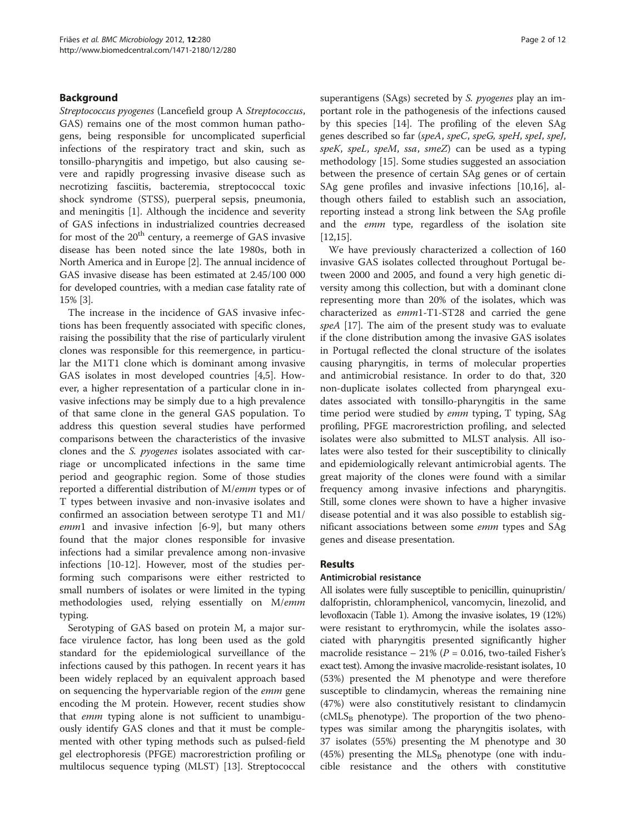# Background

Streptococcus pyogenes (Lancefield group A Streptococcus, GAS) remains one of the most common human pathogens, being responsible for uncomplicated superficial infections of the respiratory tract and skin, such as tonsillo-pharyngitis and impetigo, but also causing severe and rapidly progressing invasive disease such as necrotizing fasciitis, bacteremia, streptococcal toxic shock syndrome (STSS), puerperal sepsis, pneumonia, and meningitis [\[1](#page-10-0)]. Although the incidence and severity of GAS infections in industrialized countries decreased for most of the  $20<sup>th</sup>$  century, a reemerge of GAS invasive disease has been noted since the late 1980s, both in North America and in Europe [[2\]](#page-10-0). The annual incidence of GAS invasive disease has been estimated at 2.45/100 000 for developed countries, with a median case fatality rate of 15% [[3\]](#page-10-0).

The increase in the incidence of GAS invasive infections has been frequently associated with specific clones, raising the possibility that the rise of particularly virulent clones was responsible for this reemergence, in particular the M1T1 clone which is dominant among invasive GAS isolates in most developed countries [\[4,5](#page-10-0)]. However, a higher representation of a particular clone in invasive infections may be simply due to a high prevalence of that same clone in the general GAS population. To address this question several studies have performed comparisons between the characteristics of the invasive clones and the S. pyogenes isolates associated with carriage or uncomplicated infections in the same time period and geographic region. Some of those studies reported a differential distribution of M/emm types or of T types between invasive and non-invasive isolates and confirmed an association between serotype T1 and M1/ emm1 and invasive infection [\[6](#page-10-0)-[9\]](#page-10-0), but many others found that the major clones responsible for invasive infections had a similar prevalence among non-invasive infections [\[10-12](#page-10-0)]. However, most of the studies performing such comparisons were either restricted to small numbers of isolates or were limited in the typing methodologies used, relying essentially on M/emm typing.

Serotyping of GAS based on protein M, a major surface virulence factor, has long been used as the gold standard for the epidemiological surveillance of the infections caused by this pathogen. In recent years it has been widely replaced by an equivalent approach based on sequencing the hypervariable region of the *emm* gene encoding the M protein. However, recent studies show that *emm* typing alone is not sufficient to unambiguously identify GAS clones and that it must be complemented with other typing methods such as pulsed-field gel electrophoresis (PFGE) macrorestriction profiling or multilocus sequence typing (MLST) [[13\]](#page-10-0). Streptococcal superantigens (SAgs) secreted by S. *pyogenes* play an important role in the pathogenesis of the infections caused by this species [[14\]](#page-10-0). The profiling of the eleven SAg genes described so far (speA, speC, speG, speH, speI, speJ, speK, speL, speM, ssa, smeZ) can be used as a typing methodology [\[15\]](#page-10-0). Some studies suggested an association between the presence of certain SAg genes or of certain SAg gene profiles and invasive infections [\[10,16\]](#page-10-0), although others failed to establish such an association, reporting instead a strong link between the SAg profile and the *emm* type, regardless of the isolation site [[12,15\]](#page-10-0).

We have previously characterized a collection of 160 invasive GAS isolates collected throughout Portugal between 2000 and 2005, and found a very high genetic diversity among this collection, but with a dominant clone representing more than 20% of the isolates, which was characterized as emm1-T1-ST28 and carried the gene speA [[17](#page-10-0)]. The aim of the present study was to evaluate if the clone distribution among the invasive GAS isolates in Portugal reflected the clonal structure of the isolates causing pharyngitis, in terms of molecular properties and antimicrobial resistance. In order to do that, 320 non-duplicate isolates collected from pharyngeal exudates associated with tonsillo-pharyngitis in the same time period were studied by *emm* typing, T typing, SAg profiling, PFGE macrorestriction profiling, and selected isolates were also submitted to MLST analysis. All isolates were also tested for their susceptibility to clinically and epidemiologically relevant antimicrobial agents. The great majority of the clones were found with a similar frequency among invasive infections and pharyngitis. Still, some clones were shown to have a higher invasive disease potential and it was also possible to establish significant associations between some emm types and SAg genes and disease presentation.

#### Results

#### Antimicrobial resistance

All isolates were fully susceptible to penicillin, quinupristin/ dalfopristin, chloramphenicol, vancomycin, linezolid, and levofloxacin (Table [1](#page-2-0)). Among the invasive isolates, 19 (12%) were resistant to erythromycin, while the isolates associated with pharyngitis presented significantly higher macrolide resistance  $-21\%$  ( $P = 0.016$ , two-tailed Fisher's exact test). Among the invasive macrolide-resistant isolates, 10 (53%) presented the M phenotype and were therefore susceptible to clindamycin, whereas the remaining nine (47%) were also constitutively resistant to clindamycin  $(cMLS_B)$  phenotype). The proportion of the two phenotypes was similar among the pharyngitis isolates, with 37 isolates (55%) presenting the M phenotype and 30 (45%) presenting the  $MLS_B$  phenotype (one with inducible resistance and the others with constitutive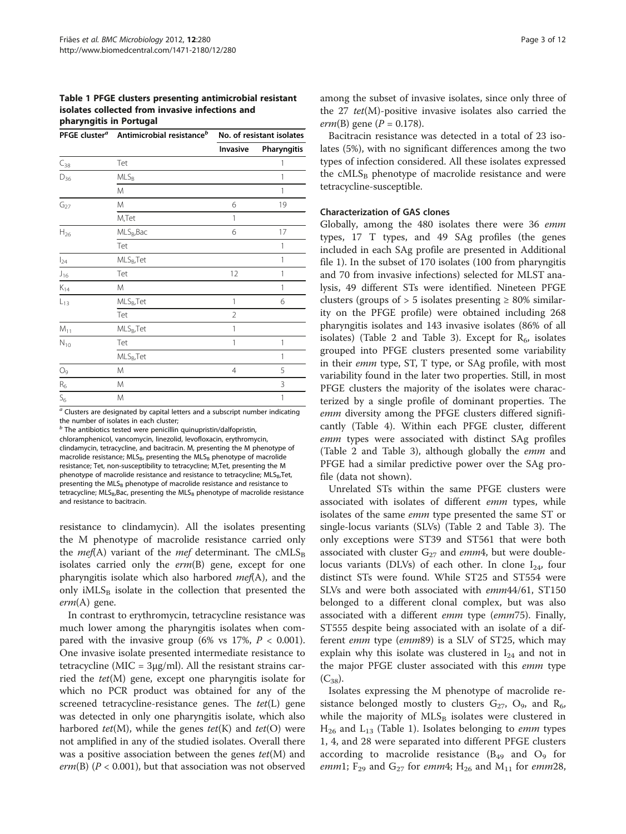<span id="page-2-0"></span>Table 1 PFGE clusters presenting antimicrobial resistant isolates collected from invasive infections and pharyngitis in Portugal

|                   | PFGE cluster <sup>a</sup> Antimicrobial resistance <sup>b</sup> | No. of resistant isolates |                    |  |
|-------------------|-----------------------------------------------------------------|---------------------------|--------------------|--|
|                   |                                                                 | Invasive                  | <b>Pharyngitis</b> |  |
| $\mathsf{C}_{38}$ | Tet                                                             |                           | 1                  |  |
| $D_{36}$          | $MLS_B$                                                         |                           | 1                  |  |
|                   | M                                                               |                           | 1                  |  |
| $G_{27}$          | M                                                               | 6                         | 19                 |  |
|                   | M,Tet                                                           | 1                         |                    |  |
| $H_{26}$          | MLS <sub>B</sub> ,Bac                                           | 6                         | 17                 |  |
|                   | Tet                                                             |                           | 1                  |  |
| $I_{24}$          | MLS <sub>B</sub> ,Tet                                           |                           | 1                  |  |
| $J_{16}$          | Tet                                                             | 12                        | 1                  |  |
| $K_{14}$          | M                                                               |                           | 1                  |  |
| $L_{13}$          | MLS <sub>B</sub> ,Tet                                           | 1                         | 6                  |  |
|                   | Tet                                                             | $\overline{2}$            |                    |  |
| $M_{11}$          | $MLS_B,$ Tet                                                    | 1                         |                    |  |
| $N_{10}$          | Tet                                                             | 1                         | 1                  |  |
|                   | MLS <sub>B</sub> ,Tet                                           |                           | 1                  |  |
| $O_9$             | M                                                               | $\overline{4}$            | 5                  |  |
| $R_6$             | M                                                               |                           | 3                  |  |
| $S_6$             | M                                                               |                           | 1                  |  |

 $\alpha$  Clusters are designated by capital letters and a subscript number indicating the number of isolates in each cluster;

 $<sup>b</sup>$  The antibiotics tested were penicillin quinupristin/dalfopristin,</sup> chloramphenicol, vancomycin, linezolid, levofloxacin, erythromycin, clindamycin, tetracycline, and bacitracin. M, presenting the M phenotype of macrolide resistance;  $MLS_B$ , presenting the  $MLS_B$  phenotype of macrolide resistance; Tet, non-susceptibility to tetracycline; M,Tet, presenting the M phenotype of macrolide resistance and resistance to tetracycline; MLSB,Tet, presenting the  $MLS_B$  phenotype of macrolide resistance and resistance to tetracycline;  $MLS_B$ , Bac, presenting the  $MLS_B$  phenotype of macrolide resistance and resistance to bacitracin.

resistance to clindamycin). All the isolates presenting the M phenotype of macrolide resistance carried only the *mef*(A) variant of the *mef* determinant. The cMLS<sub>B</sub> isolates carried only the  $erm(B)$  gene, except for one pharyngitis isolate which also harbored  $mef(A)$ , and the only  $iMLS_B$  isolate in the collection that presented the  $erm(A)$  gene.

In contrast to erythromycin, tetracycline resistance was much lower among the pharyngitis isolates when compared with the invasive group (6% vs  $17\%$ ,  $P < 0.001$ ). One invasive isolate presented intermediate resistance to tetracycline ( $MIC = 3\mu g/ml$ ). All the resistant strains carried the tet(M) gene, except one pharyngitis isolate for which no PCR product was obtained for any of the screened tetracycline-resistance genes. The tet(L) gene was detected in only one pharyngitis isolate, which also harbored  $tet(M)$ , while the genes  $tet(K)$  and  $tet(O)$  were not amplified in any of the studied isolates. Overall there was a positive association between the genes  $tet(M)$  and  $erm(B)$  ( $P < 0.001$ ), but that association was not observed among the subset of invasive isolates, since only three of the 27 tet(M)-positive invasive isolates also carried the *erm*(B) gene ( $P = 0.178$ ).

Bacitracin resistance was detected in a total of 23 isolates (5%), with no significant differences among the two types of infection considered. All these isolates expressed the  $cMLS_B$  phenotype of macrolide resistance and were tetracycline-susceptible.

#### Characterization of GAS clones

Globally, among the 480 isolates there were 36 emm types, 17 T types, and 49 SAg profiles (the genes included in each SAg profile are presented in Additional file [1\)](#page-9-0). In the subset of 170 isolates (100 from pharyngitis and 70 from invasive infections) selected for MLST analysis, 49 different STs were identified. Nineteen PFGE clusters (groups of  $> 5$  isolates presenting  $\geq 80\%$  similarity on the PFGE profile) were obtained including 268 pharyngitis isolates and 143 invasive isolates (86% of all isolates) (Table [2](#page-3-0) and Table [3\)](#page-4-0). Except for  $R_6$ , isolates grouped into PFGE clusters presented some variability in their emm type, ST, T type, or SAg profile, with most variability found in the later two properties. Still, in most PFGE clusters the majority of the isolates were characterized by a single profile of dominant properties. The emm diversity among the PFGE clusters differed significantly (Table [4\)](#page-4-0). Within each PFGE cluster, different emm types were associated with distinct SAg profiles (Table [2](#page-3-0) and Table [3](#page-4-0)), although globally the *emm* and PFGE had a similar predictive power over the SAg profile (data not shown).

Unrelated STs within the same PFGE clusters were associated with isolates of different emm types, while isolates of the same emm type presented the same ST or single-locus variants (SLVs) (Table [2](#page-3-0) and Table [3\)](#page-4-0). The only exceptions were ST39 and ST561 that were both associated with cluster  $G_{27}$  and *emm*4, but were doublelocus variants (DLVs) of each other. In clone  $I_{24}$ , four distinct STs were found. While ST25 and ST554 were SLVs and were both associated with emm44/61, ST150 belonged to a different clonal complex, but was also associated with a different *emm* type (emm75). Finally, ST555 despite being associated with an isolate of a different *emm* type (*emm*89) is a SLV of ST25, which may explain why this isolate was clustered in  $I_{24}$  and not in the major PFGE cluster associated with this *emm* type  $(C_{38})$ .

Isolates expressing the M phenotype of macrolide resistance belonged mostly to clusters  $G_{27}$ ,  $O_9$ , and  $R_6$ , while the majority of  $MLS<sub>B</sub>$  isolates were clustered in  $H_{26}$  and  $L_{13}$  (Table 1). Isolates belonging to *emm* types 1, 4, and 28 were separated into different PFGE clusters according to macrolide resistance  $(B_{49}$  and  $O_9$  for emm1;  $F_{29}$  and  $G_{27}$  for emm4;  $H_{26}$  and  $M_{11}$  for emm28,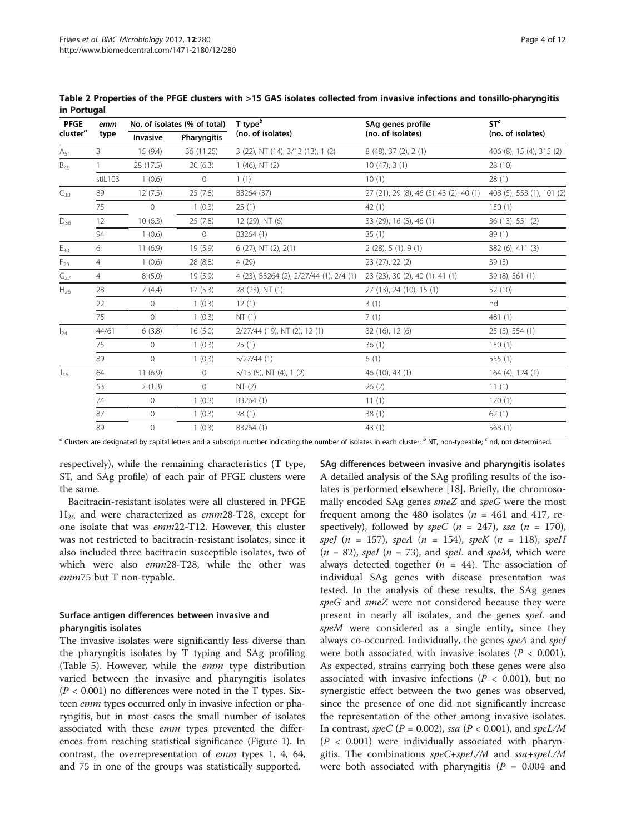| <b>PFGE</b><br>cluster <sup>a</sup> | emm<br>type    | No. of isolates (% of total) |             | T type $\overline{b}$                   | SAq genes profile                       | ST <sup>c</sup>           |
|-------------------------------------|----------------|------------------------------|-------------|-----------------------------------------|-----------------------------------------|---------------------------|
|                                     |                | <b>Invasive</b>              | Pharyngitis | (no. of isolates)                       | (no. of isolates)                       | (no. of isolates)         |
| $A_{51}$                            | 3              | 15(9.4)                      | 36 (11.25)  | 3 (22), NT (14), 3/13 (13), 1 (2)       | 8 (48), 37 (2), 2 (1)                   | 406 (8), 15 (4), 315 (2)  |
| $B_{49}$                            |                | 28 (17.5)                    | 20(6.3)     | $1(46)$ , NT $(2)$                      | 10(47), 3(1)                            | 28 (10)                   |
|                                     | stlL103        | 1(0.6)                       | 0           | 1(1)                                    | 10(1)                                   | 28(1)                     |
| $C_{38}$                            | 89             | 12(7.5)                      | 25(7.8)     | B3264 (37)                              | 27 (21), 29 (8), 46 (5), 43 (2), 40 (1) | 408 (5), 553 (1), 101 (2) |
|                                     | 75             | $\mathbf{O}$                 | 1(0.3)      | 25(1)                                   | 42(1)                                   | 150(1)                    |
| $\mathsf{D}_{36}$                   | 12             | 10(6.3)                      | 25(7.8)     | 12 (29), NT (6)                         | 33 (29), 16 (5), 46 (1)                 | 36 (13), 551 (2)          |
|                                     | 94             | 1(0.6)                       | $\circ$     | B3264 (1)                               | 35(1)                                   | 89(1)                     |
| $E_{30}$                            | 6              | 11(6.9)                      | 19(5.9)     | 6 (27), NT (2), 2(1)                    | 2(28), 5(1), 9(1)                       | 382 (6), 411 (3)          |
| $F_{29}$                            | $\overline{4}$ | 1(0.6)                       | 28 (8.8)    | 4(29)                                   | 23 (27), 22 (2)                         | 39(5)                     |
| $G_{27}$                            | $\overline{4}$ | 8(5.0)                       | 19(5.9)     | 4 (23), B3264 (2), 2/27/44 (1), 2/4 (1) | 23 (23), 30 (2), 40 (1), 41 (1)         | 39 (8), 561 (1)           |
| $H_{26}$                            | 28             | 7(4.4)                       | 17(5.3)     | 28 (23), NT (1)                         | 27 (13), 24 (10), 15 (1)                | 52 (10)                   |
|                                     | 22             | $\Omega$                     | 1(0.3)      | 12(1)                                   | 3(1)                                    | nd                        |
|                                     | 75             | $\overline{0}$               | 1(0.3)      | NT(1)                                   | 7(1)                                    | 481 (1)                   |
| $l_{24}$                            | 44/61          | 6(3.8)                       | 16(5.0)     | 2/27/44 (19), NT (2), 12 (1)            | 32 (16), 12 (6)                         | $25(5)$ , 554 $(1)$       |
|                                     | 75             | $\Omega$                     | 1(0.3)      | 25(1)                                   | 36(1)                                   | 150(1)                    |
|                                     | 89             | $\circ$                      | 1(0.3)      | $5/27/44$ (1)                           | 6(1)                                    | 555(1)                    |
| $J_{16}$                            | 64             | 11(6.9)                      | $\Omega$    | $3/13$ (5), NT (4), 1 (2)               | 46 (10), 43 (1)                         | 164 (4), 124 (1)          |
|                                     | 53             | 2(1.3)                       | $\circ$     | NT(2)                                   | 26(2)                                   | 11(1)                     |
|                                     | 74             | $\circ$                      | 1(0.3)      | B3264 (1)                               | 11(1)                                   | 120(1)                    |
|                                     | 87             | $\Omega$                     | 1(0.3)      | 28(1)                                   | 38(1)                                   | 62(1)                     |
|                                     | 89             | $\circ$                      | 1(0.3)      | B3264 (1)                               | 43(1)                                   | 568(1)                    |

<span id="page-3-0"></span>Table 2 Properties of the PFGE clusters with >15 GAS isolates collected from invasive infections and tonsillo-pharyngitis in Portugal

 $a$  Clusters are designated by capital letters and a subscript number indicating the number of isolates in each cluster;  $b$  NT, non-typeable;  $c$  nd, not determined.

respectively), while the remaining characteristics (T type, ST, and SAg profile) of each pair of PFGE clusters were the same.

Bacitracin-resistant isolates were all clustered in PFGE  $H_{26}$  and were characterized as *emm*28-T28, except for one isolate that was emm22-T12. However, this cluster was not restricted to bacitracin-resistant isolates, since it also included three bacitracin susceptible isolates, two of which were also emm28-T28, while the other was emm75 but T non-typable.

#### Surface antigen differences between invasive and pharyngitis isolates

The invasive isolates were significantly less diverse than the pharyngitis isolates by T typing and SAg profiling (Table [5\)](#page-5-0). However, while the *emm* type distribution varied between the invasive and pharyngitis isolates  $(P < 0.001)$  no differences were noted in the T types. Sixteen emm types occurred only in invasive infection or pharyngitis, but in most cases the small number of isolates associated with these emm types prevented the differences from reaching statistical significance (Figure [1\)](#page-5-0). In contrast, the overrepresentation of emm types 1, 4, 64, and 75 in one of the groups was statistically supported.

SAg differences between invasive and pharyngitis isolates A detailed analysis of the SAg profiling results of the isolates is performed elsewhere [\[18\]](#page-10-0). Briefly, the chromosomally encoded SAg genes smeZ and speG were the most frequent among the 480 isolates ( $n = 461$  and 417, respectively), followed by speC ( $n = 247$ ), ssa ( $n = 170$ ), speJ (n = 157), speA (n = 154), speK (n = 118), speH  $(n = 82)$ , speI  $(n = 73)$ , and speL and speM, which were always detected together ( $n = 44$ ). The association of individual SAg genes with disease presentation was tested. In the analysis of these results, the SAg genes speG and smeZ were not considered because they were present in nearly all isolates, and the genes speL and speM were considered as a single entity, since they always co-occurred. Individually, the genes speA and speJ were both associated with invasive isolates ( $P < 0.001$ ). As expected, strains carrying both these genes were also associated with invasive infections ( $P < 0.001$ ), but no synergistic effect between the two genes was observed, since the presence of one did not significantly increase the representation of the other among invasive isolates. In contrast, speC ( $P = 0.002$ ), ssa ( $P < 0.001$ ), and speL/M  $(P < 0.001)$  were individually associated with pharyngitis. The combinations  $speC+speL/M$  and  $ssa+speL/M$ were both associated with pharyngitis ( $P = 0.004$  and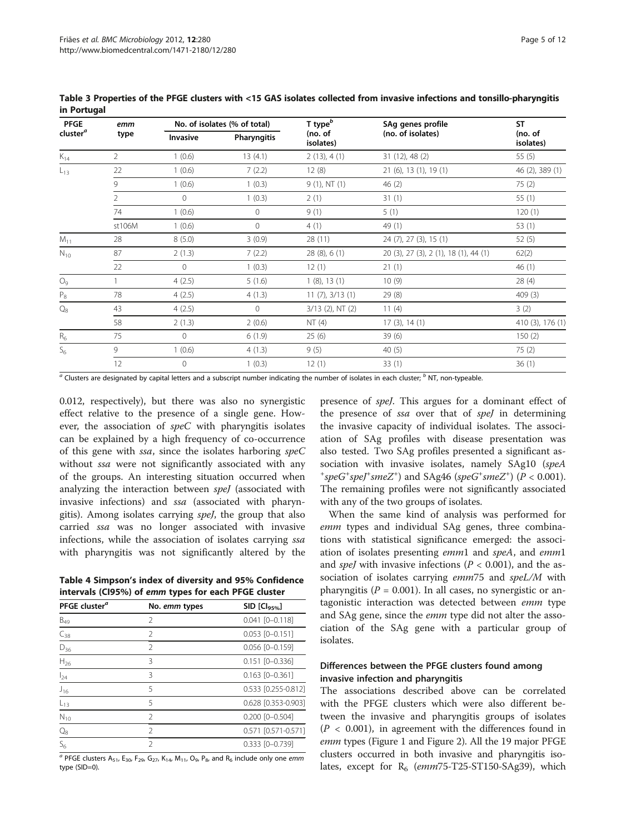| <b>PFGE</b><br>cluster <sup>a</sup> | emm<br>type    | No. of isolates (% of total) |              | T type <sup>b</sup>  | SAg genes profile                     | <b>ST</b>            |
|-------------------------------------|----------------|------------------------------|--------------|----------------------|---------------------------------------|----------------------|
|                                     |                | Invasive                     | Pharyngitis  | (no. of<br>isolates) | (no. of isolates)                     | (no. of<br>isolates) |
| $K_{14}$                            | $\overline{2}$ | 1(0.6)                       | 13(4.1)      | 2(13), 4(1)          | 31 (12), 48 (2)                       | 55(5)                |
| $L_{13}$                            | 22             | 1(0.6)                       | 7(2.2)       | 12(8)                | 21 (6), 13 (1), 19 (1)                | 46 (2), 389 (1)      |
|                                     | 9              | 1(0.6)                       | 1(0.3)       | $9(1)$ , NT $(1)$    | 46(2)                                 | 75(2)                |
|                                     | 2              | $\mathbf 0$                  | 1(0.3)       | 2(1)                 | 31(1)                                 | 55 $(1)$             |
|                                     | 74             | 1(0.6)                       | $\mathbf{0}$ | 9(1)                 | 5(1)                                  | 120(1)               |
|                                     | st106M         | 1(0.6)                       | $\mathbf{0}$ | 4(1)                 | 49 (1)                                | 53 $(1)$             |
| $M_{11}$                            | 28             | 8(5.0)                       | 3(0.9)       | 28 (11)              | 24 (7), 27 (3), 15 (1)                | 52(5)                |
| $N_{10}$                            | 87             | 2(1.3)                       | 7(2.2)       | 28(8), 6(1)          | 20 (3), 27 (3), 2 (1), 18 (1), 44 (1) | 62(2)                |
|                                     | 22             | $\mathbf{0}$                 | 1(0.3)       | 12(1)                | 21(1)                                 | 46(1)                |
| O <sub>9</sub>                      |                | 4(2.5)                       | 5(1.6)       | 1(8), 13(1)          | 10(9)                                 | 28(4)                |
| $P_8$                               | 78             | 4(2.5)                       | 4(1.3)       | 11(7), 3/13(1)       | 29(8)                                 | 409(3)               |
| $Q_8$                               | 43             | 4(2.5)                       | $\mathbf{0}$ | $3/13$ (2), NT (2)   | 11(4)                                 | 3(2)                 |
|                                     | 58             | 2(1.3)                       | 2(0.6)       | NT(4)                | 17(3), 14(1)                          | 410 (3), 176 (1)     |
| R <sub>6</sub>                      | 75             | $\mathbf{0}$                 | 6(1.9)       | 25(6)                | 39(6)                                 | 150(2)               |
| $S_6$                               | 9              | 1(0.6)                       | 4(1.3)       | 9(5)                 | 40(5)                                 | 75(2)                |
|                                     | 12             | $\mathbf 0$                  | 1(0.3)       | 12(1)                | 33(1)                                 | 36(1)                |

<span id="page-4-0"></span>Table 3 Properties of the PFGE clusters with <15 GAS isolates collected from invasive infections and tonsillo-pharyngitis in Portugal

 $a$  Clusters are designated by capital letters and a subscript number indicating the number of isolates in each cluster;  $b$  NT, non-typeable.

0.012, respectively), but there was also no synergistic effect relative to the presence of a single gene. However, the association of speC with pharyngitis isolates can be explained by a high frequency of co-occurrence of this gene with ssa, since the isolates harboring speC without *ssa* were not significantly associated with any of the groups. An interesting situation occurred when analyzing the interaction between *speJ* (associated with invasive infections) and ssa (associated with pharyngitis). Among isolates carrying speJ, the group that also carried ssa was no longer associated with invasive infections, while the association of isolates carrying ssa with pharyngitis was not significantly altered by the

Table 4 Simpson's index of diversity and 95% Confidence intervals (CI95%) of emm types for each PFGE cluster

| PFGE cluster <sup>a</sup> | No. emm types  | $SID$ $[Cl95%]$       |  |
|---------------------------|----------------|-----------------------|--|
| $B_{49}$                  | 2              | $0.041$ $[0 - 0.118]$ |  |
| $C_{38}$                  | $\mathcal{P}$  | $0.053$ $[0 - 0.151]$ |  |
| $D_{36}$                  | 2              | $0.056$ [0-0.159]     |  |
| $H_{26}$                  | 3              | $0.151$ $[0 - 0.336]$ |  |
| $I_{24}$                  | 3              | $0.163$ $[0 - 0.361]$ |  |
| $J_{16}$                  | 5              | 0.533 [0.255-0.812]   |  |
| $L_{13}$                  | 5              | 0.628 [0.353-0.903]   |  |
| $N_{10}$                  | $\mathfrak{D}$ | $0.200$ $[0 - 0.504]$ |  |
| $\mathsf{Q}_8$            | $\mathfrak{D}$ | 0.571 [0.571-0.571]   |  |
| $S_6$                     | $\mathcal{P}$  | 0.333 [0-0.739]       |  |

 $a$  PFGE clusters A<sub>51</sub>, E<sub>30</sub>, F<sub>29</sub>, G<sub>27</sub>, K<sub>14</sub>, M<sub>11</sub>, O<sub>9</sub>, P<sub>8</sub>, and R<sub>6</sub> include only one emm type (SID=0).

presence of speJ. This argues for a dominant effect of the presence of *ssa* over that of *speJ* in determining the invasive capacity of individual isolates. The association of SAg profiles with disease presentation was also tested. Two SAg profiles presented a significant association with invasive isolates, namely SAg10 (speA  $spec^+ speJ^+smeZ^+$  and  $SAg46$  ( $spec^+smeZ^+$ ) ( $P < 0.001$ ).<br>The remaining profiles were not significantly associated The remaining profiles were not significantly associated with any of the two groups of isolates.

When the same kind of analysis was performed for emm types and individual SAg genes, three combinations with statistical significance emerged: the association of isolates presenting *emm*1 and *speA*, and *emm*1 and *speJ* with invasive infections ( $P < 0.001$ ), and the association of isolates carrying emm75 and speL/M with pharyngitis ( $P = 0.001$ ). In all cases, no synergistic or antagonistic interaction was detected between emm type and SAg gene, since the *emm* type did not alter the association of the SAg gene with a particular group of isolates.

# Differences between the PFGE clusters found among invasive infection and pharyngitis

The associations described above can be correlated with the PFGE clusters which were also different between the invasive and pharyngitis groups of isolates  $(P < 0.001)$ , in agreement with the differences found in emm types (Figure [1](#page-5-0) and Figure [2](#page-6-0)). All the 19 major PFGE clusters occurred in both invasive and pharyngitis isolates, except for  $R_6$  (emm75-T25-ST150-SAg39), which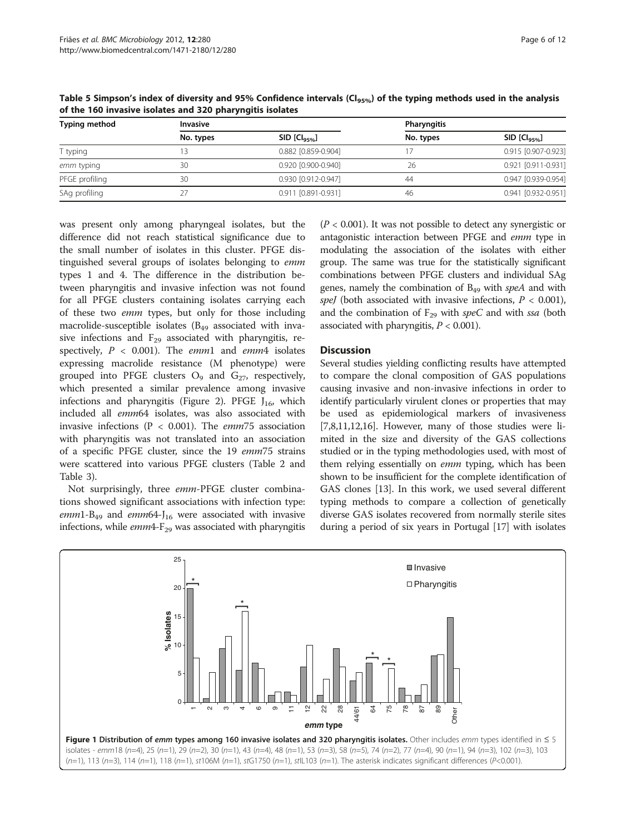| Typing method  | <b>Invasive</b> |                     | Pharyngitis |                            |
|----------------|-----------------|---------------------|-------------|----------------------------|
|                | No. types       | $SID$ $[Cl95%]$     | No. types   | $SID$ [Cl <sub>95%</sub> ] |
| T typing       | 3               | 0.882 [0.859-0.904] |             | 0.915 [0.907-0.923]        |
| emm typing     | 30              | 0.920 [0.900-0.940] | 26          | 0.921 [0.911-0.931]        |
| PFGE profiling | 30              | 0.930 [0.912-0.947] | 44          | 0.947 [0.939-0.954]        |
| SAq profiling  | 27              | 0.911 [0.891-0.931] | 46          | 0.941 [0.932-0.951]        |

<span id="page-5-0"></span>Table 5 Simpson's index of diversity and 95% Confidence intervals (CI<sub>95%</sub>) of the typing methods used in the analysis of the 160 invasive isolates and 320 pharyngitis isolates

was present only among pharyngeal isolates, but the difference did not reach statistical significance due to the small number of isolates in this cluster. PFGE distinguished several groups of isolates belonging to emm types 1 and 4. The difference in the distribution between pharyngitis and invasive infection was not found for all PFGE clusters containing isolates carrying each of these two emm types, but only for those including macrolide-susceptible isolates  $(B_{49}$  associated with invasive infections and  $F_{29}$  associated with pharyngitis, respectively,  $P < 0.001$ ). The emm1 and emm4 isolates expressing macrolide resistance (M phenotype) were grouped into PFGE clusters  $O_9$  and  $G_{27}$ , respectively, which presented a similar prevalence among invasive infections and pharyngitis (Figure [2\)](#page-6-0). PFGE  $J_{16}$ , which included all emm64 isolates, was also associated with invasive infections ( $P < 0.001$ ). The *emm*75 association with pharyngitis was not translated into an association of a specific PFGE cluster, since the 19 emm75 strains were scattered into various PFGE clusters (Table [2](#page-3-0) and Table [3](#page-4-0)).

Not surprisingly, three emm-PFGE cluster combinations showed significant associations with infection type:  $emm1-B_{49}$  and  $emm64-J_{16}$  were associated with invasive infections, while  $emm4-F_{29}$  was associated with pharyngitis  $(P < 0.001)$ . It was not possible to detect any synergistic or antagonistic interaction between PFGE and emm type in modulating the association of the isolates with either group. The same was true for the statistically significant combinations between PFGE clusters and individual SAg genes, namely the combination of  $B_{49}$  with speA and with speJ (both associated with invasive infections,  $P < 0.001$ ), and the combination of  $F_{29}$  with speC and with ssa (both associated with pharyngitis,  $P < 0.001$ ).

# **Discussion**

Several studies yielding conflicting results have attempted to compare the clonal composition of GAS populations causing invasive and non-invasive infections in order to identify particularly virulent clones or properties that may be used as epidemiological markers of invasiveness [[7,8,11,12,16\]](#page-10-0). However, many of those studies were limited in the size and diversity of the GAS collections studied or in the typing methodologies used, with most of them relying essentially on *emm* typing, which has been shown to be insufficient for the complete identification of GAS clones [\[13\]](#page-10-0). In this work, we used several different typing methods to compare a collection of genetically diverse GAS isolates recovered from normally sterile sites during a period of six years in Portugal [\[17\]](#page-10-0) with isolates

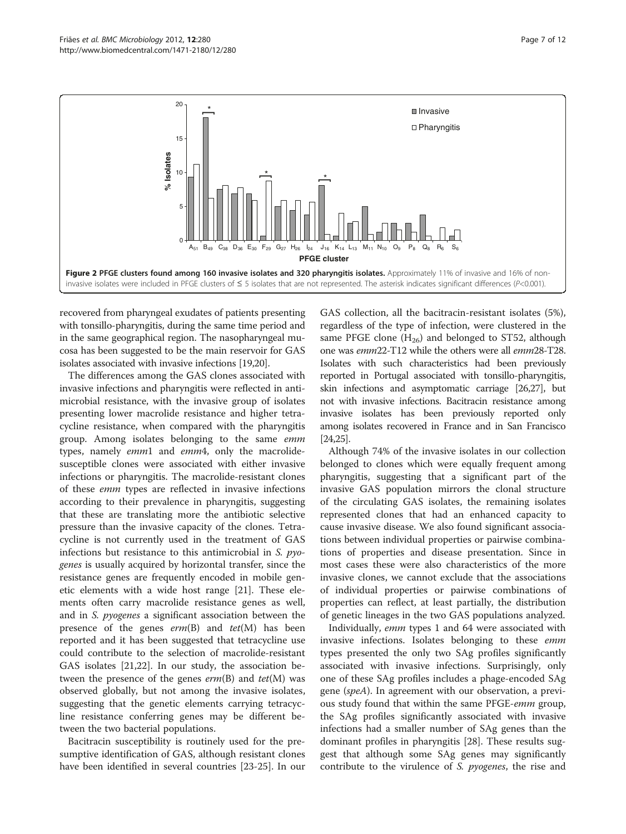<span id="page-6-0"></span>

recovered from pharyngeal exudates of patients presenting with tonsillo-pharyngitis, during the same time period and in the same geographical region. The nasopharyngeal mucosa has been suggested to be the main reservoir for GAS isolates associated with invasive infections [\[19,20\]](#page-10-0).

The differences among the GAS clones associated with invasive infections and pharyngitis were reflected in antimicrobial resistance, with the invasive group of isolates presenting lower macrolide resistance and higher tetracycline resistance, when compared with the pharyngitis group. Among isolates belonging to the same emm types, namely emm1 and emm4, only the macrolidesusceptible clones were associated with either invasive infections or pharyngitis. The macrolide-resistant clones of these emm types are reflected in invasive infections according to their prevalence in pharyngitis, suggesting that these are translating more the antibiotic selective pressure than the invasive capacity of the clones. Tetracycline is not currently used in the treatment of GAS infections but resistance to this antimicrobial in S.  $pyo$ genes is usually acquired by horizontal transfer, since the resistance genes are frequently encoded in mobile genetic elements with a wide host range [\[21](#page-10-0)]. These elements often carry macrolide resistance genes as well, and in S. pyogenes a significant association between the presence of the genes  $erm(B)$  and  $tet(M)$  has been reported and it has been suggested that tetracycline use could contribute to the selection of macrolide-resistant GAS isolates [\[21,22\]](#page-10-0). In our study, the association between the presence of the genes  $erm(B)$  and  $tet(M)$  was observed globally, but not among the invasive isolates, suggesting that the genetic elements carrying tetracycline resistance conferring genes may be different between the two bacterial populations.

Bacitracin susceptibility is routinely used for the presumptive identification of GAS, although resistant clones have been identified in several countries [[23-25](#page-10-0)]. In our GAS collection, all the bacitracin-resistant isolates (5%), regardless of the type of infection, were clustered in the same PFGE clone  $(H_{26})$  and belonged to ST52, although one was emm22-T12 while the others were all emm28-T28. Isolates with such characteristics had been previously reported in Portugal associated with tonsillo-pharyngitis, skin infections and asymptomatic carriage [\[26,27](#page-10-0)], but not with invasive infections. Bacitracin resistance among invasive isolates has been previously reported only among isolates recovered in France and in San Francisco [[24,25\]](#page-10-0).

Although 74% of the invasive isolates in our collection belonged to clones which were equally frequent among pharyngitis, suggesting that a significant part of the invasive GAS population mirrors the clonal structure of the circulating GAS isolates, the remaining isolates represented clones that had an enhanced capacity to cause invasive disease. We also found significant associations between individual properties or pairwise combinations of properties and disease presentation. Since in most cases these were also characteristics of the more invasive clones, we cannot exclude that the associations of individual properties or pairwise combinations of properties can reflect, at least partially, the distribution of genetic lineages in the two GAS populations analyzed.

Individually, emm types 1 and 64 were associated with invasive infections. Isolates belonging to these emm types presented the only two SAg profiles significantly associated with invasive infections. Surprisingly, only one of these SAg profiles includes a phage-encoded SAg gene (speA). In agreement with our observation, a previous study found that within the same PFGE-emm group, the SAg profiles significantly associated with invasive infections had a smaller number of SAg genes than the dominant profiles in pharyngitis [[28](#page-10-0)]. These results suggest that although some SAg genes may significantly contribute to the virulence of S. pyogenes, the rise and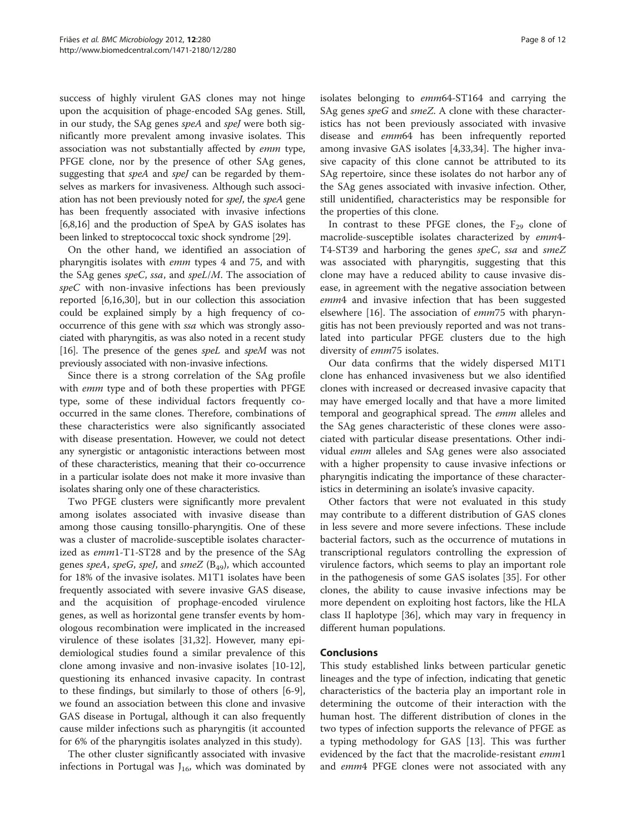success of highly virulent GAS clones may not hinge upon the acquisition of phage-encoded SAg genes. Still, in our study, the SAg genes speA and speJ were both significantly more prevalent among invasive isolates. This association was not substantially affected by emm type, PFGE clone, nor by the presence of other SAg genes, suggesting that *speA* and *speJ* can be regarded by themselves as markers for invasiveness. Although such association has not been previously noted for speJ, the speA gene has been frequently associated with invasive infections [[6,8,16\]](#page-10-0) and the production of SpeA by GAS isolates has been linked to streptococcal toxic shock syndrome [\[29\]](#page-10-0).

On the other hand, we identified an association of pharyngitis isolates with emm types 4 and 75, and with the SAg genes  $spec$ , ssa, and  $speL/M$ . The association of speC with non-invasive infections has been previously reported [\[6,16,30](#page-10-0)], but in our collection this association could be explained simply by a high frequency of cooccurrence of this gene with ssa which was strongly associated with pharyngitis, as was also noted in a recent study [[16](#page-10-0)]. The presence of the genes *speL* and *speM* was not previously associated with non-invasive infections.

Since there is a strong correlation of the SAg profile with *emm* type and of both these properties with PFGE type, some of these individual factors frequently cooccurred in the same clones. Therefore, combinations of these characteristics were also significantly associated with disease presentation. However, we could not detect any synergistic or antagonistic interactions between most of these characteristics, meaning that their co-occurrence in a particular isolate does not make it more invasive than isolates sharing only one of these characteristics.

Two PFGE clusters were significantly more prevalent among isolates associated with invasive disease than among those causing tonsillo-pharyngitis. One of these was a cluster of macrolide-susceptible isolates characterized as emm1-T1-ST28 and by the presence of the SAg genes speA, speG, speJ, and smeZ  $(B_{49})$ , which accounted for 18% of the invasive isolates. M1T1 isolates have been frequently associated with severe invasive GAS disease, and the acquisition of prophage-encoded virulence genes, as well as horizontal gene transfer events by homologous recombination were implicated in the increased virulence of these isolates [[31,32\]](#page-10-0). However, many epidemiological studies found a similar prevalence of this clone among invasive and non-invasive isolates [\[10-12](#page-10-0)], questioning its enhanced invasive capacity. In contrast to these findings, but similarly to those of others [[6-9](#page-10-0)], we found an association between this clone and invasive GAS disease in Portugal, although it can also frequently cause milder infections such as pharyngitis (it accounted for 6% of the pharyngitis isolates analyzed in this study).

The other cluster significantly associated with invasive infections in Portugal was  $J_{16}$ , which was dominated by

isolates belonging to emm64-ST164 and carrying the SAg genes speG and smeZ. A clone with these characteristics has not been previously associated with invasive disease and emm64 has been infrequently reported among invasive GAS isolates [\[4,33,34\]](#page-10-0). The higher invasive capacity of this clone cannot be attributed to its SAg repertoire, since these isolates do not harbor any of the SAg genes associated with invasive infection. Other, still unidentified, characteristics may be responsible for the properties of this clone.

In contrast to these PFGE clones, the  $F_{29}$  clone of macrolide-susceptible isolates characterized by emm4- T4-ST39 and harboring the genes speC, ssa and smeZ was associated with pharyngitis, suggesting that this clone may have a reduced ability to cause invasive disease, in agreement with the negative association between emm4 and invasive infection that has been suggested elsewhere [[16](#page-10-0)]. The association of emm75 with pharyngitis has not been previously reported and was not translated into particular PFGE clusters due to the high diversity of emm75 isolates.

Our data confirms that the widely dispersed M1T1 clone has enhanced invasiveness but we also identified clones with increased or decreased invasive capacity that may have emerged locally and that have a more limited temporal and geographical spread. The emm alleles and the SAg genes characteristic of these clones were associated with particular disease presentations. Other individual emm alleles and SAg genes were also associated with a higher propensity to cause invasive infections or pharyngitis indicating the importance of these characteristics in determining an isolate's invasive capacity.

Other factors that were not evaluated in this study may contribute to a different distribution of GAS clones in less severe and more severe infections. These include bacterial factors, such as the occurrence of mutations in transcriptional regulators controlling the expression of virulence factors, which seems to play an important role in the pathogenesis of some GAS isolates [[35](#page-10-0)]. For other clones, the ability to cause invasive infections may be more dependent on exploiting host factors, like the HLA class II haplotype [\[36\]](#page-10-0), which may vary in frequency in different human populations.

#### **Conclusions**

This study established links between particular genetic lineages and the type of infection, indicating that genetic characteristics of the bacteria play an important role in determining the outcome of their interaction with the human host. The different distribution of clones in the two types of infection supports the relevance of PFGE as a typing methodology for GAS [[13\]](#page-10-0). This was further evidenced by the fact that the macrolide-resistant emm1 and emm4 PFGE clones were not associated with any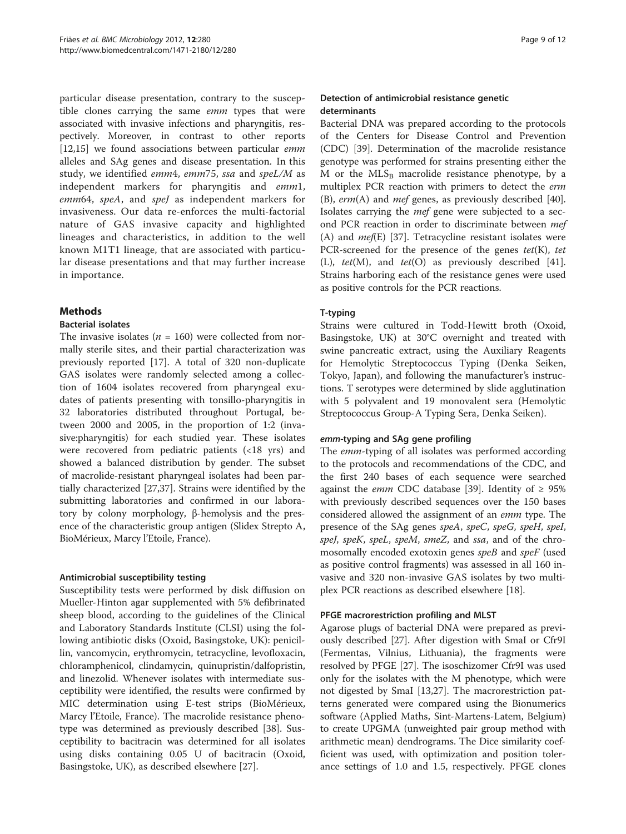particular disease presentation, contrary to the susceptible clones carrying the same emm types that were associated with invasive infections and pharyngitis, respectively. Moreover, in contrast to other reports [[12,15\]](#page-10-0) we found associations between particular emm alleles and SAg genes and disease presentation. In this study, we identified *emm4*, *emm75*, *ssa* and *speL/M* as independent markers for pharyngitis and emm1, emm64, speA, and speJ as independent markers for invasiveness. Our data re-enforces the multi-factorial nature of GAS invasive capacity and highlighted lineages and characteristics, in addition to the well known M1T1 lineage, that are associated with particular disease presentations and that may further increase in importance.

# Methods

#### Bacterial isolates

The invasive isolates ( $n = 160$ ) were collected from normally sterile sites, and their partial characterization was previously reported [\[17\]](#page-10-0). A total of 320 non-duplicate GAS isolates were randomly selected among a collection of 1604 isolates recovered from pharyngeal exudates of patients presenting with tonsillo-pharyngitis in 32 laboratories distributed throughout Portugal, between 2000 and 2005, in the proportion of 1:2 (invasive:pharyngitis) for each studied year. These isolates were recovered from pediatric patients (<18 yrs) and showed a balanced distribution by gender. The subset of macrolide-resistant pharyngeal isolates had been partially characterized [[27,](#page-10-0)[37\]](#page-11-0). Strains were identified by the submitting laboratories and confirmed in our laboratory by colony morphology, β-hemolysis and the presence of the characteristic group antigen (Slidex Strepto A, BioMérieux, Marcy l'Etoile, France).

#### Antimicrobial susceptibility testing

Susceptibility tests were performed by disk diffusion on Mueller-Hinton agar supplemented with 5% defibrinated sheep blood, according to the guidelines of the Clinical and Laboratory Standards Institute (CLSI) using the following antibiotic disks (Oxoid, Basingstoke, UK): penicillin, vancomycin, erythromycin, tetracycline, levofloxacin, chloramphenicol, clindamycin, quinupristin/dalfopristin, and linezolid. Whenever isolates with intermediate susceptibility were identified, the results were confirmed by MIC determination using E-test strips (BioMérieux, Marcy l'Etoile, France). The macrolide resistance phenotype was determined as previously described [\[38](#page-11-0)]. Susceptibility to bacitracin was determined for all isolates using disks containing 0.05 U of bacitracin (Oxoid, Basingstoke, UK), as described elsewhere [[27\]](#page-10-0).

# Detection of antimicrobial resistance genetic determinants

Bacterial DNA was prepared according to the protocols of the Centers for Disease Control and Prevention (CDC) [[39](#page-11-0)]. Determination of the macrolide resistance genotype was performed for strains presenting either the M or the  $MLS_B$  macrolide resistance phenotype, by a multiplex PCR reaction with primers to detect the erm  $(B)$ , erm $(A)$  and mef genes, as previously described [\[40](#page-11-0)]. Isolates carrying the mef gene were subjected to a second PCR reaction in order to discriminate between mef (A) and  $mef(E)$  [\[37](#page-11-0)]. Tetracycline resistant isolates were PCR-screened for the presence of the genes  $tet(K)$ ,  $tet$ (L),  $tet(M)$ , and  $tet(O)$  as previously described [\[41](#page-11-0)]. Strains harboring each of the resistance genes were used as positive controls for the PCR reactions.

#### T-typing

Strains were cultured in Todd-Hewitt broth (Oxoid, Basingstoke, UK) at 30°C overnight and treated with swine pancreatic extract, using the Auxiliary Reagents for Hemolytic Streptococcus Typing (Denka Seiken, Tokyo, Japan), and following the manufacturer's instructions. T serotypes were determined by slide agglutination with 5 polyvalent and 19 monovalent sera (Hemolytic Streptococcus Group-A Typing Sera, Denka Seiken).

#### emm-typing and SAg gene profiling

The emm-typing of all isolates was performed according to the protocols and recommendations of the CDC, and the first 240 bases of each sequence were searched against the *emm* CDC database [\[39](#page-11-0)]. Identity of  $\geq$  95% with previously described sequences over the 150 bases considered allowed the assignment of an *emm* type. The presence of the SAg genes speA, speC, speG, speH, speI, speJ, speK, speL, speM, smeZ, and ssa, and of the chromosomally encoded exotoxin genes speB and speF (used as positive control fragments) was assessed in all 160 invasive and 320 non-invasive GAS isolates by two multiplex PCR reactions as described elsewhere [[18](#page-10-0)].

#### PFGE macrorestriction profiling and MLST

Agarose plugs of bacterial DNA were prepared as previously described [\[27\]](#page-10-0). After digestion with SmaI or Cfr9I (Fermentas, Vilnius, Lithuania), the fragments were resolved by PFGE [[27](#page-10-0)]. The isoschizomer Cfr9I was used only for the isolates with the M phenotype, which were not digested by SmaI [\[13,27](#page-10-0)]. The macrorestriction patterns generated were compared using the Bionumerics software (Applied Maths, Sint-Martens-Latem, Belgium) to create UPGMA (unweighted pair group method with arithmetic mean) dendrograms. The Dice similarity coefficient was used, with optimization and position tolerance settings of 1.0 and 1.5, respectively. PFGE clones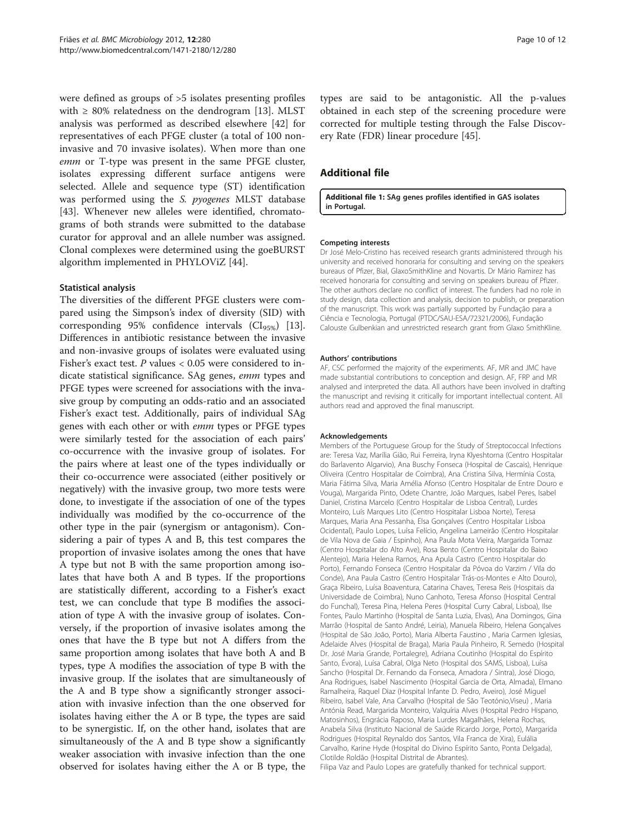<span id="page-9-0"></span>were defined as groups of >5 isolates presenting profiles with  $\geq 80\%$  relatedness on the dendrogram [\[13](#page-10-0)]. MLST analysis was performed as described elsewhere [[42](#page-11-0)] for representatives of each PFGE cluster (a total of 100 noninvasive and 70 invasive isolates). When more than one emm or T-type was present in the same PFGE cluster, isolates expressing different surface antigens were selected. Allele and sequence type (ST) identification was performed using the S. pyogenes MLST database [[43\]](#page-11-0). Whenever new alleles were identified, chromatograms of both strands were submitted to the database curator for approval and an allele number was assigned. Clonal complexes were determined using the goeBURST algorithm implemented in PHYLOViZ [[44\]](#page-11-0).

#### Statistical analysis

The diversities of the different PFGE clusters were compared using the Simpson's index of diversity (SID) with corresponding 95% confidence intervals  $(Cl_{95\%})$  [\[13](#page-10-0)]. Differences in antibiotic resistance between the invasive and non-invasive groups of isolates were evaluated using Fisher's exact test. P values  $< 0.05$  were considered to indicate statistical significance. SAg genes, emm types and PFGE types were screened for associations with the invasive group by computing an odds-ratio and an associated Fisher's exact test. Additionally, pairs of individual SAg genes with each other or with emm types or PFGE types were similarly tested for the association of each pairs' co-occurrence with the invasive group of isolates. For the pairs where at least one of the types individually or their co-occurrence were associated (either positively or negatively) with the invasive group, two more tests were done, to investigate if the association of one of the types individually was modified by the co-occurrence of the other type in the pair (synergism or antagonism). Considering a pair of types A and B, this test compares the proportion of invasive isolates among the ones that have A type but not B with the same proportion among isolates that have both A and B types. If the proportions are statistically different, according to a Fisher's exact test, we can conclude that type B modifies the association of type A with the invasive group of isolates. Conversely, if the proportion of invasive isolates among the ones that have the B type but not A differs from the same proportion among isolates that have both A and B types, type A modifies the association of type B with the invasive group. If the isolates that are simultaneously of the A and B type show a significantly stronger association with invasive infection than the one observed for isolates having either the A or B type, the types are said to be synergistic. If, on the other hand, isolates that are simultaneously of the A and B type show a significantly weaker association with invasive infection than the one observed for isolates having either the A or B type, the

types are said to be antagonistic. All the p-values obtained in each step of the screening procedure were corrected for multiple testing through the False Discovery Rate (FDR) linear procedure [\[45](#page-11-0)].

# Additional file

[Additional file 1:](http://www.biomedcentral.com/content/supplementary/1471-2180-12-280-S1.pdf) SAg genes profiles identified in GAS isolates in Portugal.

#### Competing interests

Dr José Melo-Cristino has received research grants administered through his university and received honoraria for consulting and serving on the speakers bureaus of Pfizer, Bial, GlaxoSmithKline and Novartis. Dr Mário Ramirez has received honoraria for consulting and serving on speakers bureau of Pfizer. The other authors declare no conflict of interest. The funders had no role in study design, data collection and analysis, decision to publish, or preparation of the manuscript. This work was partially supported by Fundação para a Ciência e Tecnologia, Portugal (PTDC/SAU-ESA/72321/2006), Fundação Calouste Gulbenkian and unrestricted research grant from Glaxo SmithKline.

#### Authors' contributions

AF, CSC performed the majority of the experiments. AF, MR and JMC have made substantial contributions to conception and design. AF, FRP and MR analysed and interpreted the data. All authors have been involved in drafting the manuscript and revising it critically for important intellectual content. All authors read and approved the final manuscript.

#### Acknowledgements

Members of the Portuguese Group for the Study of Streptococcal Infections are: Teresa Vaz, Marília Gião, Rui Ferreira, Iryna Klyeshtorna (Centro Hospitalar do Barlavento Algarvio), Ana Buschy Fonseca (Hospital de Cascais), Henrique Oliveira (Centro Hospitalar de Coimbra), Ana Cristina Silva, Hermínia Costa, Maria Fátima Silva, Maria Amélia Afonso (Centro Hospitalar de Entre Douro e Vouga), Margarida Pinto, Odete Chantre, João Marques, Isabel Peres, Isabel Daniel, Cristina Marcelo (Centro Hospitalar de Lisboa Central), Lurdes Monteiro, Luís Marques Lito (Centro Hospitalar Lisboa Norte), Teresa Marques, Maria Ana Pessanha, Elsa Gonçalves (Centro Hospitalar Lisboa Ocidental), Paulo Lopes, Luísa Felício, Angelina Lameirão (Centro Hospitalar de Vila Nova de Gaia / Espinho), Ana Paula Mota Vieira, Margarida Tomaz (Centro Hospitalar do Alto Ave), Rosa Bento (Centro Hospitalar do Baixo Alentejo), Maria Helena Ramos, Ana Apula Castro (Centro Hospitalar do Porto), Fernando Fonseca (Centro Hospitalar da Póvoa do Varzim / Vila do Conde), Ana Paula Castro (Centro Hospitalar Trás-os-Montes e Alto Douro), Graça Ribeiro, Luísa Boaventura, Catarina Chaves, Teresa Reis (Hospitais da Universidade de Coimbra), Nuno Canhoto, Teresa Afonso (Hospital Central do Funchal), Teresa Pina, Helena Peres (Hospital Curry Cabral, Lisboa), Ilse Fontes, Paulo Martinho (Hospital de Santa Luzia, Elvas), Ana Domingos, Gina Marrão (Hospital de Santo André, Leiria), Manuela Ribeiro, Helena Gonçalves (Hospital de São João, Porto), Maria Alberta Faustino , Maria Carmen Iglesias, Adelaide Alves (Hospital de Braga), Maria Paula Pinheiro, R. Semedo (Hospital Dr. José Maria Grande, Portalegre), Adriana Coutinho (Hospital do Espírito Santo, Évora), Luísa Cabral, Olga Neto (Hospital dos SAMS, Lisboa), Luísa Sancho (Hospital Dr. Fernando da Fonseca, Amadora / Sintra), José Diogo, Ana Rodrigues, Isabel Nascimento (Hospital Garcia de Orta, Almada), Elmano Ramalheira, Raquel Diaz (Hospital Infante D. Pedro, Aveiro), José Miguel Ribeiro, Isabel Vale, Ana Carvalho (Hospital de São Teotónio,Viseu) , Maria Antónia Read, Margarida Monteiro, Valquíria Alves (Hospital Pedro Hispano, Matosinhos), Engrácia Raposo, Maria Lurdes Magalhães, Helena Rochas, Anabela Silva (Instituto Nacional de Saúde Ricardo Jorge, Porto), Margarida Rodrigues (Hospital Reynaldo dos Santos, Vila Franca de Xira), Eulália Carvalho, Karine Hyde (Hospital do Divino Espírito Santo, Ponta Delgada), Clotilde Roldão (Hospital Distrital de Abrantes).

Filipa Vaz and Paulo Lopes are gratefully thanked for technical support.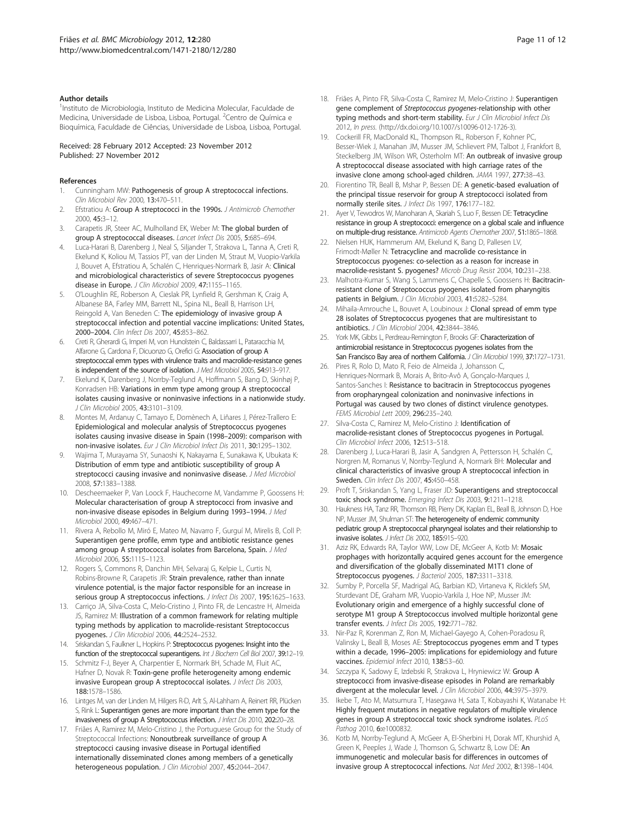#### <span id="page-10-0"></span>Author details

<sup>1</sup>Instituto de Microbiologia, Instituto de Medicina Molecular, Faculdade de Medicina, Universidade de Lisboa, Lisboa, Portugal. <sup>2</sup>Centro de Química e Bioquímica, Faculdade de Ciências, Universidade de Lisboa, Lisboa, Portugal.

#### Received: 28 February 2012 Accepted: 23 November 2012 Published: 27 November 2012

#### References

- 1. Cunningham MW: Pathogenesis of group A streptococcal infections. Clin Microbiol Rev 2000, 13:470–511.
- Efstratiou A: Group A streptococci in the 1990s. J Antimicrob Chemother 2000, 45:3–12.
- Carapetis JR, Steer AC, Mulholland EK, Weber M: The global burden of group A streptococcal diseases. Lancet Infect Dis 2005, 5:685–694.
- 4. Luca-Harari B, Darenberg J, Neal S, Siljander T, Strakova L, Tanna A, Creti R, Ekelund K, Koliou M, Tassios PT, van der Linden M, Straut M, Vuopio-Varkila J, Bouvet A, Efstratiou A, Schalén C, Henriques-Normark B, Jasir A: Clinical and microbiological characteristics of severe Streptococcus pyogenes disease in Europe. J Clin Microbiol 2009, 47:1155-1165.
- 5. O'Loughlin RE, Roberson A, Cieslak PR, Lynfield R, Gershman K, Craig A, Albanese BA, Farley MM, Barrett NL, Spina NL, Beall B, Harrison LH, Reingold A, Van Beneden C: The epidemiology of invasive group A streptococcal infection and potential vaccine implications: United States, 2000–2004. Clin Infect Dis 2007, 45:853–862.
- 6. Creti R, Gherardi G, Imperi M, von Hunolstein C, Baldassarri L, Pataracchia M, Alfarone G, Cardona F, Dicuonzo G, Orefici G: Association of group A streptococcal emm types with virulence traits and macrolide-resistance genes is independent of the source of isolation. J Med Microbiol 2005, 54:913–917.
- 7. Ekelund K, Darenberg J, Norrby-Teglund A, Hoffmann S, Bang D, Skinhøj P, Konradsen HB: Variations in emm type among group A streptococcal isolates causing invasive or noninvasive infections in a nationwide study. J Clin Microbiol 2005, 43:3101–3109.
- 8. Montes M, Ardanuy C, Tamayo E, Domènech A, Liñares J, Pérez-Trallero E: Epidemiological and molecular analysis of Streptococcus pyogenes isolates causing invasive disease in Spain (1998–2009): comparison with non-invasive isolates. Eur J Clin Microbiol Infect Dis 2011, 30:1295–1302.
- 9. Wajima T, Murayama SY, Sunaoshi K, Nakayama E, Sunakawa K, Ubukata K: Distribution of emm type and antibiotic susceptibility of group A streptococci causing invasive and noninvasive disease. J Med Microbiol 2008, 57:1383–1388.
- 10. Descheemaeker P, Van Loock F, Hauchecorne M, Vandamme P, Goossens H: Molecular characterisation of group A streptococci from invasive and non-invasive disease episodes in Belgium during 1993–1994. J Med Microbiol 2000, 49:467–471.
- 11. Rivera A, Rebollo M, Miró E, Mateo M, Navarro F, Gurguí M, Mirelis B, Coll P: Superantigen gene profile, emm type and antibiotic resistance genes among group A streptococcal isolates from Barcelona, Spain. J Med Microbiol 2006, 55:1115–1123.
- 12. Rogers S, Commons R, Danchin MH, Selvaraj G, Kelpie L, Curtis N, Robins-Browne R, Carapetis JR: Strain prevalence, rather than innate virulence potential, is the major factor responsible for an increase in serious group A streptococcus infections. J Infect Dis 2007, 195:1625-1633.
- 13. Carriço JA, Silva-Costa C, Melo-Cristino J, Pinto FR, de Lencastre H, Almeida JS, Ramirez M: Illustration of a common framework for relating multiple typing methods by application to macrolide-resistant Streptococcus pyogenes. J Clin Microbiol 2006, 44:2524–2532.
- 14. Sriskandan S, Faulkner L, Hopkins P: Streptococcus pyogenes: Insight into the function of the streptococcal superantigens. Int J Biochem Cell Biol 2007, 39:12-19.
- 15. Schmitz F-J, Beyer A, Charpentier E, Normark BH, Schade M, Fluit AC, Hafner D, Novak R: Toxin-gene profile heterogeneity among endemic invasive European group A streptococcal isolates. *J Infect Dis* 2003, 188:1578–1586.
- 16. Lintges M, van der Linden M, Hilgers R-D, Arlt S, Al-Lahham A, Reinert RR, Plücken S, Rink L: Superantigen genes are more important than the emm type for the invasiveness of group A Streptococcus infection. J Infect Dis 2010, 202:20–28.
- 17. Friães A, Ramirez M, Melo-Cristino J, the Portuguese Group for the Study of Streptococcal Infections: Nonoutbreak surveillance of group A streptococci causing invasive disease in Portugal identified internationally disseminated clones among members of a genetically heterogeneous population. J Clin Microbiol 2007, 45:2044-2047.
- 18. Friães A, Pinto FR, Silva-Costa C, Ramirez M, Melo-Cristino J: Superantigen gene complement of *Streptococcus pyogenes-*relationship with other<br>typing methods and short-term stability. Eur J Clin Microbiol Infect Dis 2012, In press. (http://dx.doi.org[/10.1007/s10096-012-1726-3](http://dx.doi.org/10.1007/s10096-012-1726-3)).
- 19. Cockerill FR, MacDonald KL, Thompson RL, Roberson F, Kohner PC, Besser-Wiek J, Manahan JM, Musser JM, Schlievert PM, Talbot J, Frankfort B, Steckelberg JM, Wilson WR, Osterholm MT: An outbreak of invasive group A streptococcal disease associated with high carriage rates of the invasive clone among school-aged children. JAMA 1997, 277:38–43.
- 20. Fiorentino TR, Beall B, Mshar P, Bessen DE: A genetic-based evaluation of the principal tissue reservoir for group A streptococci isolated from normally sterile sites. J Infect Dis 1997, 176:177–182.
- 21. Ayer V, Tewodros W, Manoharan A, Skariah S, Luo F, Bessen DE: Tetracycline resistance in group A streptococci: emergence on a global scale and influence on multiple-drug resistance. Antimicrob Agents Chemother 2007, 51:1865–1868.
- 22. Nielsen HUK, Hammerum AM, Ekelund K, Bang D, Pallesen LV, Frimodt-Møller N: Tetracycline and macrolide co-resistance in Streptococcus pyogenes: co-selection as a reason for increase in macrolide-resistant S. pyogenes? Microb Drug Resist 2004, 10:231–238.
- 23. Malhotra-Kumar S, Wang S, Lammens C, Chapelle S, Goossens H: Bacitracinresistant clone of Streptococcus pyogenes isolated from pharyngitis patients in Belgium. J Clin Microbiol 2003, 41:5282-5284.
- 24. Mihaila-Amrouche L, Bouvet A, Loubinoux J: Clonal spread of emm type 28 isolates of Streptococcus pyogenes that are multiresistant to antibiotics. J Clin Microbiol 2004, 42:3844–3846.
- 25. York MK, Gibbs L, Perdreau-Remington F, Brooks GF: Characterization of antimicrobial resistance in Streptococcus pyogenes isolates from the San Francisco Bay area of northern California. J Clin Microbiol 1999, 37:1727-1731.
- 26. Pires R, Rolo D, Mato R, Feio de Almeida J, Johansson C, Henriques-Normark B, Morais A, Brito-Avô A, Gonçalo-Marques J, Santos-Sanches I: Resistance to bacitracin in Streptococcus pyogenes from oropharyngeal colonization and noninvasive infections in Portugal was caused by two clones of distinct virulence genotypes. FEMS Microbiol Lett 2009, 296:235–240.
- 27. Silva-Costa C, Ramirez M, Melo-Cristino J: Identification of macrolide-resistant clones of Streptococcus pyogenes in Portugal. Clin Microbiol Infect 2006, 12:513–518.
- 28. Darenberg J, Luca-Harari B, Jasir A, Sandgren A, Pettersson H, Schalén C, Norgren M, Romanus V, Norrby-Teglund A, Normark BH: Molecular and clinical characteristics of invasive group A streptococcal infection in Sweden. Clin Infect Dis 2007, 45:450–458.
- 29. Proft T, Sriskandan S, Yang L, Fraser JD: Superantigens and streptococcal toxic shock syndrome. Emerging Infect Dis 2003, 9:1211–1218.
- 30. Haukness HA, Tanz RR, Thomson RB, Pierry DK, Kaplan EL, Beall B, Johnson D, Hoe NP, Musser JM, Shulman ST: The heterogeneity of endemic community pediatric group A streptococcal pharyngeal isolates and their relationship to invasive isolates. J Infect Dis 2002, 185:915–920.
- 31. Aziz RK, Edwards RA, Taylor WW, Low DE, McGeer A, Kotb M: Mosaic prophages with horizontally acquired genes account for the emergence and diversification of the globally disseminated M1T1 clone of Streptococcus pyogenes. J Bacteriol 2005, 187:3311–3318.
- 32. Sumby P, Porcella SF, Madrigal AG, Barbian KD, Virtaneva K, Ricklefs SM, Sturdevant DE, Graham MR, Vuopio-Varkila J, Hoe NP, Musser JM: Evolutionary origin and emergence of a highly successful clone of serotype M1 group A Streptococcus involved multiple horizontal gene transfer events. J Infect Dis 2005, 192:771–782.
- 33. Nir-Paz R, Korenman Z, Ron M, Michael-Gayego A, Cohen-Poradosu R, Valinsky L, Beall B, Moses AE: Streptococcus pyogenes emm and T types within a decade, 1996–2005: implications for epidemiology and future vaccines. Epidemiol Infect 2010, 138:53-60.
- 34. Szczypa K, Sadowy E, Izdebski R, Strakova L, Hryniewicz W: Group A streptococci from invasive-disease episodes in Poland are remarkably divergent at the molecular level. J Clin Microbiol 2006, 44:3975-3979.
- 35. Ikebe T, Ato M, Matsumura T, Hasegawa H, Sata T, Kobayashi K, Watanabe H: Highly frequent mutations in negative regulators of multiple virulence genes in group A streptococcal toxic shock syndrome isolates. PLoS Pathog 2010, 6:e1000832.
- 36. Kotb M, Norrby-Teglund A, McGeer A, El-Sherbini H, Dorak MT, Khurshid A, Green K, Peeples J, Wade J, Thomson G, Schwartz B, Low DE: An immunogenetic and molecular basis for differences in outcomes of invasive group A streptococcal infections. Nat Med 2002, 8:1398–1404.